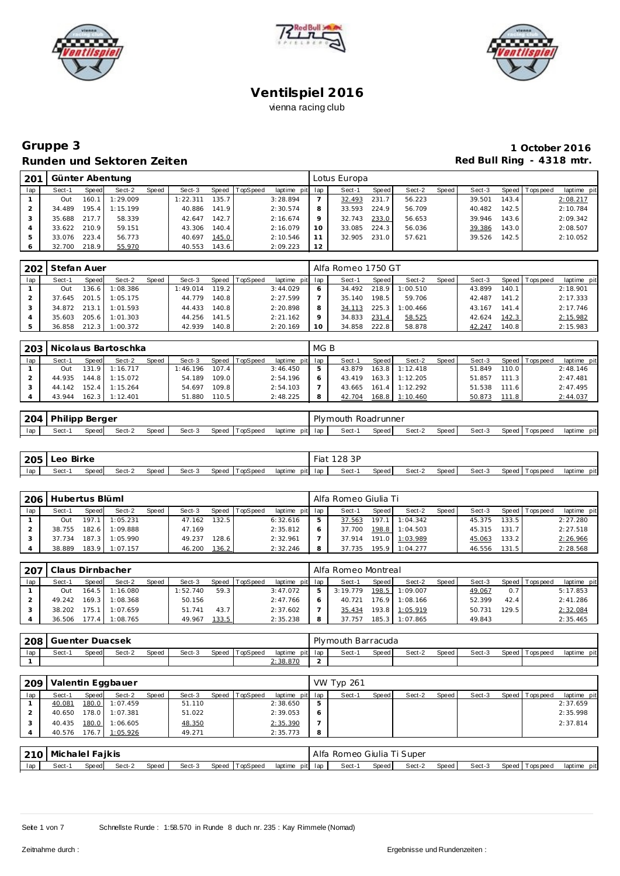





### **Gruppe 3 1 October 2016 Runden und Sektoren Zeiten Red Bull Ring - 4318 mtr.**

| 201     |              |       | Günter Abentung |       |         |       |                |                 |         | Lotus Europa |       |        |       |        |       |                 |             |
|---------|--------------|-------|-----------------|-------|---------|-------|----------------|-----------------|---------|--------------|-------|--------|-------|--------|-------|-----------------|-------------|
| lap     | Sect-1       | Speed | Sect-2          | Speed | Sect-3  |       | Speed TopSpeed | laptime pit lap |         | Sect-1       | Speed | Sect-2 | Speed | Sect-3 |       | Speed Tops peed | laptime pit |
|         | Out          | 160.1 | 1:29.009        |       | :22.311 | 135.7 |                | 3:28.894        |         | 32.493       | 231.7 | 56.223 |       | 39.501 | 143.4 |                 | 2:08.217    |
|         | 34.489       | 195.4 | 1:15.199        |       | 40.886  | 141.9 |                | 2:30.574        | 8       | 33.593       | 224.9 | 56.709 |       | 40.482 | 142.5 |                 | 2:10.784    |
|         | 35.688 217.7 |       | 58.339          |       | 42.647  | 142.7 |                | 2:16.674        | $\circ$ | 32.743       | 233.0 | 56.653 |       | 39.946 | 143.6 |                 | 2:09.342    |
|         | 33.622 210.9 |       | 59.151          |       | 43.306  | 140.4 |                | 2:16.079        | 10      | 33.085       | 224.3 | 56.036 |       | 39.386 | 143.0 |                 | 2:08.507    |
| 5       | 33.076       | 223.4 | 56.773          |       | 40.697  | 145.0 |                | 2:10.546        |         | 32.905       | 231.0 | 57.621 |       | 39.526 | 142.5 |                 | 2:10.052    |
| $\circ$ | 32.700       | 218.9 | 55.970          |       | 40.553  | 143.6 |                | 2:09.223        | 12      |              |       |        |       |        |       |                 |             |

| 202 | Stefan Auer      |        |          |       |          |       |          |                 |   | Alfa Romeo 1750 GT |         |          |       |        |       |                 |             |
|-----|------------------|--------|----------|-------|----------|-------|----------|-----------------|---|--------------------|---------|----------|-------|--------|-------|-----------------|-------------|
| lap | Sect-1           | Speed  | Sect-2   | Speed | Sect-3   | Speed | TopSpeed | laptime pit lap |   | Sect-1             | Speed   | Sect-2   | Speed | Sect-3 |       | Speed Tops peed | laptime pit |
|     | Out              | 136.61 | 1:08.386 |       | 1:49.014 | 119.2 |          | 3:44.029        |   | 34.492             | 218.9   | 1:00.510 |       | 43.899 | 140.1 |                 | 2:18.901    |
|     | 37.645           | 201.5  | 1:05.175 |       | 44.779   | 140.8 |          | 2:27.599        |   | 35.140             | $198.5$ | 59.706   |       | 42.487 | 141.2 |                 | 2:17.333    |
|     | $34.872$ $213.1$ |        | 1:01.593 |       | 44.433   | 140.8 |          | 2:20.898        | 8 | 34.113             | 225.3   | 1:00.466 |       | 43.167 | 141.4 |                 | 2:17.746    |
|     | 35.603           | 205.6  | 1:01.303 |       | 44.256   | 141.5 |          | 2:21.162        |   | 34.833             | 231.4   | 58.525   |       | 42.624 | 142.3 |                 | 2:15.982    |
|     | 36.858           | 212.3  | 1:00.372 |       | 42.939   | 140.8 |          | 2:20.169        |   | 34.858             | 222.8   | 58.878   |       | 42.247 | 140.8 |                 | 2:15.983    |

| 203 |        |       | Nicolaus Bartoschka |       |          |       |          |                 | MG B |        |       |                  |       |        |         |                 |             |
|-----|--------|-------|---------------------|-------|----------|-------|----------|-----------------|------|--------|-------|------------------|-------|--------|---------|-----------------|-------------|
| lap | Sect-1 | Speed | Sect-2              | Speed | Sect-3   | Speed | TopSpeed | laptime pit lap |      | Sect-1 | Speed | Sect-2           | Speed | Sect-3 |         | Speed Tops peed | laptime pit |
|     | Out    | 131.9 | 1:16.717            |       | 1:46.196 | 107.4 |          | 3:46.450        |      | 43.879 |       | $163.8$ 1:12.418 |       | 51.849 | 110.0 l |                 | 2:48.146    |
|     | 44.935 |       | 144.8 1:15.072      |       | 54.189   | 109.0 |          | 2:54.196        |      | 43.419 |       | $163.3$ 1:12.205 |       | 51.857 | 111.3   |                 | 2:47.481    |
|     | 44.142 | 152.4 | 1:15.264            |       | 54.697   | 109.8 |          | 2:54.103        |      | 43.665 |       | $161.4$ 1:12.292 |       | 51.538 | 111.6   |                 | 2:47.495    |
|     | 43.944 |       | $162.3$ 1:12.401    |       | 51.880   | 110.5 |          | 2:48.225        |      | 42.704 |       | 168.8 1:10.460   |       | 50.873 | 111.8   |                 | 2:44.037    |

| <b>204</b> | <b>Philipp Berger</b> |       |        |       |        |                |                 | Plymouth Roadrunner |       |        |       |        |                   |             |
|------------|-----------------------|-------|--------|-------|--------|----------------|-----------------|---------------------|-------|--------|-------|--------|-------------------|-------------|
| lap        | Sect-                 | Speed | Sect-2 | Speed | Sect-3 | Speed TopSpeed | laptime pit lap | Sect-1              | Speed | Sect-2 | Speed | Sect-3 | Speed   Tops peed | laptime pit |

| 205 | Leo   | Birke |        |       |        |                |         | Fiat    | 128 3P |       |        |       |        |                |             |
|-----|-------|-------|--------|-------|--------|----------------|---------|---------|--------|-------|--------|-------|--------|----------------|-------------|
| lap | Sect- | Speed | Sect-2 | Speed | Sect-3 | Speed TopSpeed | laptime | pit lap | Sect-1 | Speed | Sect-2 | Speed | Sect-3 | Speed Topspeed | laptime pit |

| 206 | Hubertus Blüml |              |                |              |        |       |          |                 | Alfa Romeo Giulia Ti |         |                       |       |        |       |                   |             |
|-----|----------------|--------------|----------------|--------------|--------|-------|----------|-----------------|----------------------|---------|-----------------------|-------|--------|-------|-------------------|-------------|
| lap | Sect-1         | <b>Speed</b> | Sect-2         | <b>Speed</b> | Sect-3 | Speed | TopSpeed | laptime pit lap | Sect-1               | Speed I | Sect-2                | Speed | Sect-3 |       | Speed   Tops peed | laptime pit |
|     | Out            | 197.1        | 1:05.231       |              | 47.162 | 132.5 |          | 6:32.616        | 37.563               | 197.1   | 1:04.342              |       | 45.375 | 133.5 |                   | 2:27.280    |
|     | 38.755         | 182.6        | 1:09.888       |              | 47.169 |       |          | 2:35.812        | 37.700               |         | 198.8 1:04.503        |       | 45.315 | 131.7 |                   | 2:27.518    |
|     | 37.734         |              | 187.3 1:05.990 |              | 49.237 | 128.6 |          | 2:32.961        |                      |         | 37.914 191.0 1:03.989 |       | 45.063 | 133.2 |                   | 2:26.966    |
|     | 38.889         |              | 183.9 1:07.157 |              | 46.200 | 136.2 |          | 2:32.246        | 37.735               | 195.9   | 1:04.277              |       | 46.556 | 131.5 |                   | 2:28.568    |

| . 207 | Claus Dirnbacher |       |          |       |          |       |                |                 | Alfa Romeo Montreal |       |                  |       |        |       |                |             |
|-------|------------------|-------|----------|-------|----------|-------|----------------|-----------------|---------------------|-------|------------------|-------|--------|-------|----------------|-------------|
| lap   | Sect-1           | Speed | Sect-2   | Speed | Sect-3   |       | Speed TopSpeed | laptime pit lap | Sect-1              | Speed | Sect-2           | Speed | Sect-3 |       | Speed Topspeed | laptime pit |
|       | Out              | 164.5 | 1:16.080 |       | 1:52.740 | 59.3  |                | 3:47.072        | 3:19.779            | 198.5 | 1:09.007         |       | 49.067 | 0.7   |                | 5:17.853    |
|       | 49.242           | 169.3 | 1:08.368 |       | 50.156   |       |                | 2:47.766        | 40.721              |       | $176.9$ 1:08.166 |       | 52.399 | 42.4  |                | 2:41.286    |
|       | 38.202           | 175.1 | 1:07.659 |       | 51.741   | 43.7  |                | 2:37.602        | 35.434              |       | 193.8 1:05.919   |       | 50.731 | 129.5 |                | 2:32.084    |
|       | 36.506           |       | :08.765  |       | 49.967   | 133.5 |                | 2:35.238        | 37.757              | 185.3 | 1:07.865         |       | 49.843 |       |                | 2:35.465    |

| 208 | Guenter Duacsek |       |        |       |        |       |          |          |         | Plymouth Barracuda |       |        |       |        |                |             |
|-----|-----------------|-------|--------|-------|--------|-------|----------|----------|---------|--------------------|-------|--------|-------|--------|----------------|-------------|
| lap | Sect-1          | Speed | Sect-2 | Speed | Sect-3 | Speed | TopSpeed | laptime  | pit lap | Sect-1             | Speed | Sect-2 | Speed | Sect-3 | Speed Topspeed | laptime pit |
|     |                 |       |        |       |        |       |          | 2:38.870 |         |                    |       |        |       |        |                |             |

| 209 |                 |       | Valentin Eggbauer     |       |        |       |          |                 |   | <b>VW Typ 261</b>          |       |        |       |        |                |             |
|-----|-----------------|-------|-----------------------|-------|--------|-------|----------|-----------------|---|----------------------------|-------|--------|-------|--------|----------------|-------------|
| lap | Sect-1          | Speed | Sect-2                | Speed | Sect-3 | Speed | TopSpeed | laptime pit lap |   | Sect-1                     | Speed | Sect-2 | Speed | Sect-3 | Speed Topspeed | laptime pit |
|     | 40.081          | 180.0 | 1:07.459              |       | 51.110 |       |          | 2:38.650        | 5 |                            |       |        |       |        |                | 2:37.659    |
|     | 40.650          | 178.0 | 1:07.381              |       | 51.022 |       |          | 2:39.053        | O |                            |       |        |       |        |                | 2:35.998    |
|     | 40.435          | 180.0 | 1:06.605              |       | 48.350 |       |          | 2:35.390        |   |                            |       |        |       |        |                | 2:37.814    |
|     |                 |       | 40.576 176.7 1:05.926 |       | 49.271 |       |          | 2:35.773        | 8 |                            |       |        |       |        |                |             |
|     |                 |       |                       |       |        |       |          |                 |   |                            |       |        |       |        |                |             |
| 210 | Michalel Faikis |       |                       |       |        |       |          |                 |   | Alfa Romeo Giulia Ti Super |       |        |       |        |                |             |

| lan | Sect-1 | Speed | Sect-2 | Speed | Sect-3 | TopSpeed<br>Speed | laptime<br>pit lap | Sect-1 | Snaad | Sect-2 | Speed. | Sect-3 | Speed<br>Tops pee c | lantime<br>pitl |
|-----|--------|-------|--------|-------|--------|-------------------|--------------------|--------|-------|--------|--------|--------|---------------------|-----------------|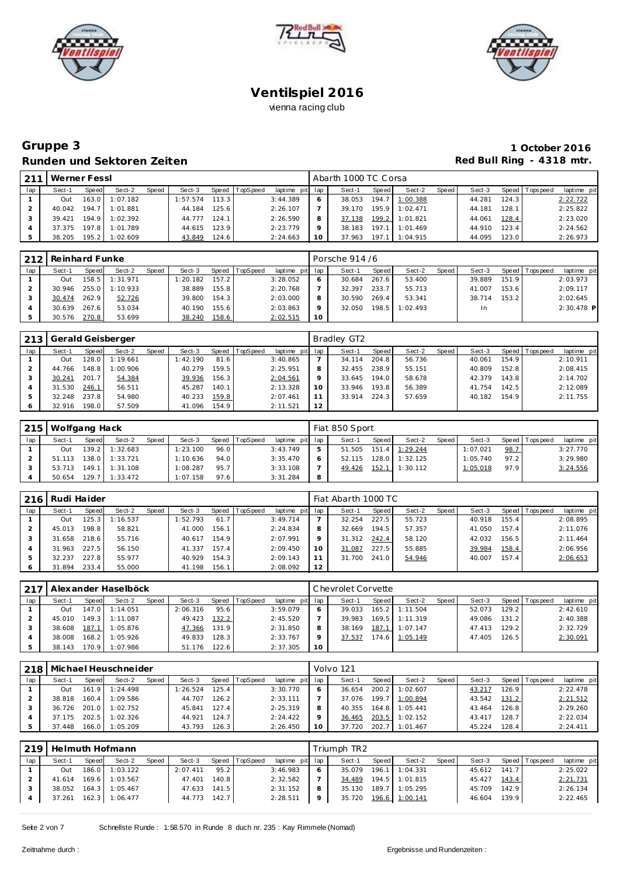





## **Gruppe 3 1 October 2016** Runden und Sektoren Zeiten **Runden und Sektoren Zeiten Red Bull Ring - 4318 mtr.**

| 211 | Werner Fessl |       |          |       |          |       |          |                 |    | Abarth 1000 TC Corsa |       |                |       |        |       |                 |             |
|-----|--------------|-------|----------|-------|----------|-------|----------|-----------------|----|----------------------|-------|----------------|-------|--------|-------|-----------------|-------------|
| lap | Sect-1       | Speed | Sect-2   | Speed | Sect-3   | Speed | TopSpeed | laptime pit lap |    | Sect-1               | Speed | Sect-2         | Speed | Sect-3 |       | Speed Tops peed | laptime pit |
|     | Out          | 163.0 | 1:07.182 |       | 1:57.574 | 113.3 |          | 3:44.389        |    | 38.053               | 194.7 | 1:00.388       |       | 44.281 | 124.3 |                 | 2:22.722    |
|     | 40.042       | 194.7 | 1:01.881 |       | 44.184   | 125.6 |          | 2:26.107        |    | 39.170               |       | 195.9 1:02.471 |       | 44.181 | 128.1 |                 | 2:25.822    |
|     | 39.421       | 194.9 | 1:02.392 |       | 44.777   | 124.1 |          | 2:26.590        | 8  | 37.138               |       | 199.2 1:01.821 |       | 44.061 | 128.4 |                 | 2:23.020    |
|     | 37.375       | 197.8 | 1:01.789 |       | 44.615   | 123.9 |          | 2:23.779        |    | 38.183               | 197.1 | 1:01.469       |       | 44.910 | 123.4 |                 | 2:24.562    |
|     | 38.205       | 195.2 | 1:02.609 |       | 43.849   | 124.6 |          | 2:24.663        | 10 | 37.963               | 197.1 | 1:04.915       |       | 44.095 | 123.0 |                 | 2:26.973    |

| 212 | Reinhard Funke |       |          |       |          |       |          |                 |                 | Porsche 914 /6 |       |          |       |        |       |                 |              |
|-----|----------------|-------|----------|-------|----------|-------|----------|-----------------|-----------------|----------------|-------|----------|-------|--------|-------|-----------------|--------------|
| lap | Sect-1         | Speed | Sect-2   | Speed | Sect-3   | Speed | TopSpeed | laptime pit lap |                 | Sect-1         | Speed | Sect-2   | Speed | Sect-3 |       | Speed Tops peed | laptime pit  |
|     | Out            | 158.5 | 1:31.971 |       | : 20.182 | 157.2 |          | 3:28.052        |                 | 30.684         | 267.6 | 53.400   |       | 39.889 | 151.9 |                 | 2:03.973     |
|     | 30.946         | 255.0 | 1:10.933 |       | 38.889   | 155.8 |          | 2:20.768        |                 | 32.397         | 233.7 | 55.713   |       | 41.007 | 153.6 |                 | 2:09.117     |
|     | 30.474         | 262.9 | 52.726   |       | 39.800   | 154.3 |          | 2:03.000        | 8               | 30.590         | 269.4 | 53.341   |       | 38.714 | 153.2 |                 | 2:02.645     |
|     | 30.639         | 267.6 | 53.034   |       | 40.190   | 155.6 |          | 2:03.863        | $\circ$         | 32.050         | 198.5 | 1:02.493 |       | In     |       |                 | $2:30.478$ P |
|     | 30.576         | 270.8 | 53.699   |       | 38.240   | 158.6 |          | 2:02.515        | 10 <sup>°</sup> |                |       |          |       |        |       |                 |              |

| 213 |        |       | Gerald Geisberger |       |          |       |          |                 |         | Bradley GT2 |       |        |       |        |       |                 |             |
|-----|--------|-------|-------------------|-------|----------|-------|----------|-----------------|---------|-------------|-------|--------|-------|--------|-------|-----------------|-------------|
| lap | Sect-1 | Speed | Sect-2            | Speed | Sect-3   | Speed | TopSpeed | laptime pit lap |         | Sect-1      | Speed | Sect-2 | Speed | Sect-3 |       | Speed Tops peed | laptime pit |
|     | Out    | 128.0 | 1:19.661          |       | 1:42.190 | 81.6  |          | 3:40.865        |         | 34.114      | 204.8 | 56.736 |       | 40.061 | 154.9 |                 | 2:10.911    |
|     | 44.766 | 148.8 | 1:00.906          |       | 40.279   | 159.5 |          | 2:25.951        | 8       | 32.455      | 238.9 | 55.151 |       | 40.809 | 152.8 |                 | 2:08.415    |
|     | 30.241 | 201.7 | 54.384            |       | 39.936   | 156.3 |          | 2:04.561        | $\circ$ | 33.645      | 194.0 | 58.678 |       | 42.379 | 143.8 |                 | 2:14.702    |
|     | 31.530 | 246.1 | 56.511            |       | 45.287   | 140.1 |          | 2:13.328        | 10      | 33.946      | 193.8 | 56.389 |       | 41.754 | 142.5 |                 | 2:12.089    |
| 5   | 32.248 | 237.8 | 54.980            |       | 40.233   | 159.8 |          | 2:07.461        | 11      | 33.914      | 224.3 | 57.659 |       | 40.182 | 154.9 |                 | 2:11.755    |
| O   | 32.916 | 198.0 | 57.509            |       | 41.096   | 154.9 |          | 2:11.521        | 12      |             |       |        |       |        |       |                 |             |

|     | 215   Wolfgang Hack |                    |                  |              |          |       |                 |                 |   | Fiat 850 Sport |         |                         |       |          |      |                 |             |
|-----|---------------------|--------------------|------------------|--------------|----------|-------|-----------------|-----------------|---|----------------|---------|-------------------------|-------|----------|------|-----------------|-------------|
| lap | Sect-1              | Speed              | Sect-2           | <b>Speed</b> | Sect-3   | Speed | <b>TopSpeed</b> | laptime pit lap |   | Sect-1         | Speed I | Sect-2                  | Speed | Sect-3   |      | Speed Tops peed | laptime pit |
|     | Out                 |                    | 139.2 1:32.683   |              | 1:23.100 | 96.0  |                 | 3:43.749        |   |                |         | 51.505  151.4  1:29.244 |       | 1:07.021 | 98.7 |                 | 3:27.770    |
|     | 51.113              | 138.0              | 1:33.721         |              | 1:10.636 | 94.0  |                 | 3:35.470        |   | 52.115         |         | $128.0$ 1:32.125        |       | 1:05.740 | 97.2 |                 | 3:29.980    |
|     | 53.713              |                    | $149.1$ 1:31.108 |              | 1:08.287 | 95.7  |                 | 3:33.108        |   | 49.426         | 152.1   | 1:30.112                |       | 1:05.018 | 97.9 |                 | 3:24.556    |
|     | 50.654              | 129.7 <sup>1</sup> | 1:33.472         |              | 1:07.158 | 97.6  |                 | 3:31.284        | 8 |                |         |                         |       |          |      |                 |             |

| 216 | Rudi Haider |       |          |       |          |       |                |                 |         | Fiat Abarth 1000 TC |       |        |       |        |       |                 |             |
|-----|-------------|-------|----------|-------|----------|-------|----------------|-----------------|---------|---------------------|-------|--------|-------|--------|-------|-----------------|-------------|
| lap | Sect-1      | Speed | Sect-2   | Speed | Sect-3   |       | Speed TopSpeed | laptime pit lap |         | Sect-1              | Speed | Sect-2 | Speed | Sect-3 |       | Speed Tops peed | laptime pit |
|     | Out         | 125.3 | 1:16.537 |       | 1:52.793 | 61.7  |                | 3:49.714        |         | 32.254              | 227.5 | 55.723 |       | 40.918 | 155.4 |                 | 2:08.895    |
|     | 45.013      | 198.8 | 58.821   |       | 41.000   | 156.1 |                | 2:24.834        | 8       | 32.669              | 194.5 | 57.357 |       | 41.050 | 157.4 |                 | 2:11.076    |
|     | 31.658      | 218.6 | 55.716   |       | 40.617   | 154.9 |                | 2:07.991        | $\circ$ | 31.312              | 242.4 | 58.120 |       | 42.032 | 156.5 |                 | 2:11.464    |
|     | 31.963      | 227.5 | 56.150   |       | 41.337   | 157.4 |                | 2:09.450        | 10      | 31.087              | 227.5 | 55.885 |       | 39.984 | 158.4 |                 | 2:06.956    |
|     | 32.237      | 227.8 | 55.977   |       | 40.929   | 154.3 |                | 2:09.143        |         | 31.700              | 241.0 | 54.946 |       | 40.007 | 157.4 |                 | 2:06.653    |
|     | 31.894      | 233.4 | 55,000   |       | 41.198   | 156.1 |                | 2:08.092        | 12      |                     |       |        |       |        |       |                 |             |

| 217 |        |       | Alexander Haselböck |       |          |       |                  |                 |    | Chevrolet Corvette |         |                  |         |        |        |                 |             |
|-----|--------|-------|---------------------|-------|----------|-------|------------------|-----------------|----|--------------------|---------|------------------|---------|--------|--------|-----------------|-------------|
| lap | Sect-1 | Speed | Sect-2              | Speed | Sect-3   |       | Speed   TopSpeed | laptime pit lap |    | Sect-1             | Speed I | Sect-2           | Speed I | Sect-3 |        | Speed Tops peed | laptime pit |
|     | Out    | 147.0 | 1:14.051            |       | 2:06.316 | 95.6  |                  | 3:59.079        |    | 39.033             | 165.2   | 1:11.504         |         | 52.073 | 129.21 |                 | 2:42.610    |
|     | 45.010 | 149.3 | 1:11.087            |       | 49.423   | 132.2 |                  | 2:45.520        |    | 39.983             |         | $169.5$ 1:11.319 |         | 49.086 | 131.2  |                 | 2:40.388    |
|     | 38.608 | 187.1 | 1:05.876            |       | 47.366   | 131.9 |                  | 2:31.850        |    | 38.169             | 187.1   | 1:07.147         |         | 47.413 | 129.2  |                 | 2:32.729    |
|     | 38.008 | 168.2 | 1:05.926            |       | 49.833   | 128.3 |                  | 2:33.767        |    | 37.537             | 174.6   | 1:05.149         |         | 47.405 | 126.5  |                 | 2:30.091    |
|     | 38.143 | 170.9 | 1:07.986            |       | 51.176   | 122.6 |                  | 2:37.305        | 10 |                    |         |                  |         |        |        |                 |             |

|     |        |                 | 218   Michael Heuschneider |       |          |       |                |             |         | Volvo 121 |        |          |       |        |       |                |             |
|-----|--------|-----------------|----------------------------|-------|----------|-------|----------------|-------------|---------|-----------|--------|----------|-------|--------|-------|----------------|-------------|
| lap | Sect-1 | Speed           | Sect-2                     | Speed | Sect-3   |       | Speed TopSpeed | laptime pit | lap     | Sect-1    | Speed  | Sect-2   | Speed | Sect-3 |       | Speed Topspeed | laptime pit |
|     | Out    | 161<br>$\Omega$ | 1:24.498                   |       | 1:26.524 | 125.4 |                | 3:30.770    | 6       | 36.654    | 200.2  | 1:02.607 |       | 43.217 | 126.9 |                | 2:22.478    |
|     | 38.818 | 160.4           | 1:09.586                   |       | 44.707   | 126.2 |                | 2:33.111    |         | 37.076    | 199.71 | 1:00.894 |       | 43.542 | 131.2 |                | 2:21.512    |
|     | 36.726 | 201.0           | 1:02.752                   |       | 45.841   | 127.4 |                | 2:25.319    | 8       | 40.355    | 164.8  | 1:05.441 |       | 43.464 | 126.8 |                | 2:29.260    |
|     | 37.175 | 202.5           | 1:02.326                   |       | 44.921   | 124.7 |                | 2:24.422    | $\circ$ | 36.465    | 203.5  | 1:02.152 |       | 43.417 | 128.7 |                | 2:22.034    |
|     | 37.448 | 166.0           | 1:05.209                   |       | 43.793   | 126.3 |                | 2:26.450    | 10      | 37.720    | 202.7  | 1:01.467 |       | 45.224 | 128.4 |                | 2:24.411    |

| 219 |        |       | Helmuth Hofmann  |              |          |       |                |                 |   | Triumph TR2 |       |                       |       |        |       |                 |             |
|-----|--------|-------|------------------|--------------|----------|-------|----------------|-----------------|---|-------------|-------|-----------------------|-------|--------|-------|-----------------|-------------|
| lap | Sect-1 | Speed | Sect-2           | <b>Speed</b> | Sect-3   |       | Speed TopSpeed | laptime pit lap |   | Sect-1      | Speed | Sect-2                | Speed | Sect-3 |       | Speed Tops peed | laptime pit |
|     | Out    |       | 186.0 1:03.122   |              | 2:07.411 | 95.2  |                | 3:46.983        | 6 | 35.079      | 196.1 | 1:04.331              |       | 45.612 | 141.7 |                 | 2:25.022    |
|     | 41.614 |       | 169.6 1:03.567   |              | 47.401   | 140.8 |                | 2:32.582        |   | 34.489      | 194.5 | 1:01.815              |       | 45.427 | 143.4 |                 | 2:21.731    |
|     | 38.052 |       | 164.3 1:05.467   |              | 47.633   | 141.5 |                | 2:31.152        | 8 | 35.130      | 189.7 | 1:05.295              |       | 45.709 | 142.9 |                 | 2:26.134    |
|     | 37.261 |       | $162.3$ 1:06.477 |              | 44.773   | 142.7 |                | 2:28.511        | Q |             |       | 35.720 196.6 1:00.141 |       | 46.604 | 139.9 |                 | 2:22.465    |
|     |        |       |                  |              |          |       |                |                 |   |             |       |                       |       |        |       |                 |             |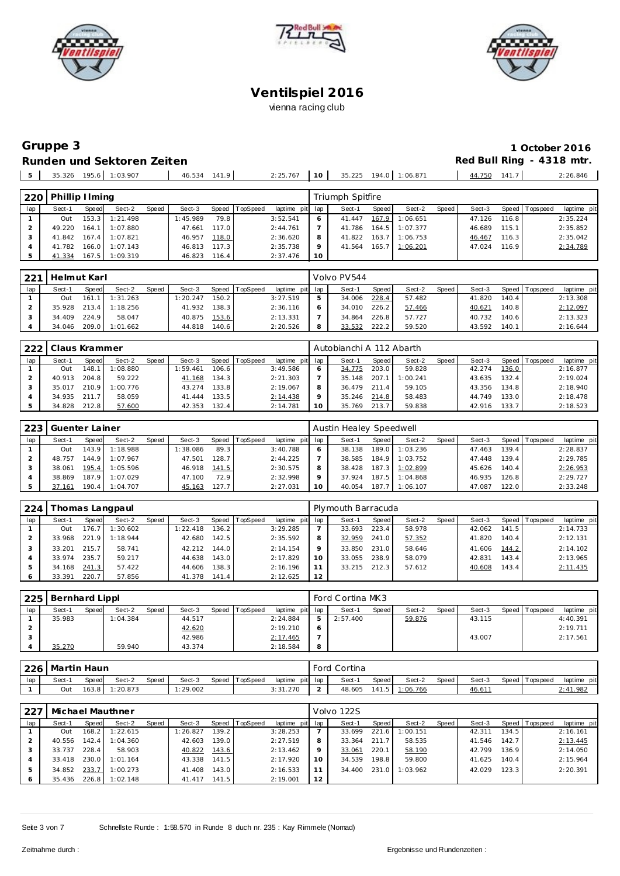





# Gruppe 3 **Runden und Sektoren Zeiten Red Bull Ring - 4318 mtr.**

| 1 October 2016           |
|--------------------------|
| Red Bull Ring - 4318 mtr |

|                     |        |                |                 |          |    |                       |  |        | .     |          |
|---------------------|--------|----------------|-----------------|----------|----|-----------------------|--|--------|-------|----------|
| $E_{\rm{eff}}$<br>ັ | 35.326 | 195.6 1:03.907 | 46.534<br>141.9 | 2:25.767 | 10 | 35.225 194.0 1:06.871 |  | 44.750 | 141.7 | : 26.846 |
|                     |        |                |                 |          |    |                       |  |        |       |          |

| 220 | Phillip Hming |       |                |       |          |       |          |                 |    | Triumph Spitfire |              |                |       |        |       |                |             |
|-----|---------------|-------|----------------|-------|----------|-------|----------|-----------------|----|------------------|--------------|----------------|-------|--------|-------|----------------|-------------|
| lap | Sect-1        | Speed | Sect-2         | Speed | Sect-3   | Speed | TopSpeed | laptime pit lap |    | Sect-1           | <b>Speed</b> | Sect-2         | Speed | Sect-3 |       | Speed Topspeed | laptime pit |
|     | Out           | 153.3 | 1:21.498       |       | 1:45.989 | 79.8  |          | 3:52.541        | 6  | 41.447           | 167.9        | 1:06.651       |       | 47.126 | 116.8 |                | 2:35.224    |
|     | 49.220        | 164.1 | 1:07.880       |       | 47.661   | 117.0 |          | 2:44.761        |    | 41.786           |              | 164.5 1:07.377 |       | 46.689 | 115.1 |                | 2:35.852    |
|     | 41.842        | 167.4 | 1:07.821       |       | 46.957   | 118.0 |          | 2:36.620        | 8  | 41.822           | 163.7        | 1:06.753       |       | 46.467 | 116.3 |                | 2:35.042    |
|     | 41.782        |       | 166.0 1:07.143 |       | 46.813   | 117.3 |          | 2:35.738        | Q  | 41.564           | 165.7        | 1:06.201       |       | 47.024 | 116.9 |                | 2:34.789    |
|     | 41.334        |       | 167.5 1:09.319 |       | 46.823   | 116.4 |          | 2:37.476        | 10 |                  |              |                |       |        |       |                |             |

| 221 | Helmut Karl |       |          |              |          |       |                |                 |   | Volvo PV544 |       |        |       |        |       |                 |             |
|-----|-------------|-------|----------|--------------|----------|-------|----------------|-----------------|---|-------------|-------|--------|-------|--------|-------|-----------------|-------------|
| lap | Sect-1      | Speed | Sect-2   | <b>Speed</b> | Sect-3   |       | Speed TopSpeed | laptime pit lap |   | Sect-1      | Speed | Sect-2 | Speed | Sect-3 |       | Speed Tops peed | laptime pit |
|     | Out         | 161   | 1:31.263 |              | 1:20.247 | 150.2 |                | 3:27.519        |   | 34.006      | 228.4 | 57.482 |       | 41.820 | 140.4 |                 | 2:13.308    |
|     | 35.928      | 213.4 | 1:18.256 |              | 41.932   | 138.3 |                | 2:36.116        |   | 34.010      | 226.2 | 57.466 |       | 40.621 | 140.8 |                 | 2:12.097    |
|     | 34.409      | 224.9 | 58.047   |              | 40.875   | 153.6 |                | 2:13.331        |   | 34.864      | 226.8 | 57.727 |       | 40.732 | 140.6 |                 | 2:13.323    |
|     | 34.046      | 209.0 | 1:01.662 |              | 44.818   | 140.6 |                | 2:20.526        | 8 | 33.532      | 222.2 | 59.520 |       | 43.592 | 140.1 |                 | 2:16.644    |

| 222 | Claus Krammer |       |          |       |         |        |          |                 |    | Autobianchi A 112 Abarth |       |          |         |        |       |                 |             |
|-----|---------------|-------|----------|-------|---------|--------|----------|-----------------|----|--------------------------|-------|----------|---------|--------|-------|-----------------|-------------|
| lap | Sect-1        | Speed | Sect-2   | Speed | Sect-3  | Speed  | TopSpeed | laptime pit lap |    | Sect-1                   | Speed | Sect-2   | Speed I | Sect-3 |       | Speed Tops peed | laptime pit |
|     | Out           | 148.  | 1:08.880 |       | :59.461 | 106.6  |          | 3:49.586        |    | 34.775                   | 203.0 | 59.828   |         | 42.274 | 136.0 |                 | 2:16.877    |
|     | 40.913        | 204.8 | 59.222   |       | 41.168  | 134.31 |          | 2:21.303        |    | 35.148                   | 207   | 1:00.241 |         | 43.635 | 132.4 |                 | 2:19.024    |
|     | 35.017        | 210.9 | 1:00.776 |       | 43.274  | 133.8  |          | 2:19.067        |    | 36.479                   | 211.4 | 59.105   |         | 43.356 | 134.8 |                 | 2:18.940    |
|     | 34.935        | 211.7 | 58.059   |       | 41.444  | 133.5  |          | 2:14.438        |    | 35.246                   | 214.8 | 58.483   |         | 44.749 | 133.0 |                 | 2:18.478    |
|     | 34.828        | 212.8 | 57.600   |       | 42.353  | 132.4  |          | 2:14.781        | 10 | 35.769                   | 213.7 | 59.838   |         | 42.916 | 133.7 |                 | 2:18.523    |

| 223 | Guenter Lainer |       |          |       |          |       |                |                 |    | Austin Healey Speedwell |       |          |       |        |       |                |             |
|-----|----------------|-------|----------|-------|----------|-------|----------------|-----------------|----|-------------------------|-------|----------|-------|--------|-------|----------------|-------------|
| lap | Sect-1         | Speed | Sect-2   | Speed | Sect-3   |       | Speed TopSpeed | laptime pit lap |    | Sect-1                  | Speed | Sect-2   | Speed | Sect-3 |       | Speed Topspeed | laptime pit |
|     | <b>Out</b>     | 143.9 | 1:18.988 |       | 1:38.086 | 89.3  |                | 3:40.788        |    | 38.138                  | 189.0 | 1:03.236 |       | 47.463 | 139.4 |                | 2:28.837    |
|     | 48.757         | 144.9 | 1:07.967 |       | 47.501   | 128.7 |                | 2:44.225        |    | 38.585                  | 184.9 | 1:03.752 |       | 47.448 | 139.4 |                | 2:29.785    |
|     | 38.061         | 195.4 | 1:05.596 |       | 46.918   | 141.5 |                | 2:30.575        |    | 38.428                  | 187.3 | 1:02.899 |       | 45.626 | 140.4 |                | 2:26.953    |
|     | 38.869         | 187.9 | 1:07.029 |       | 47.100   | 72.9  |                | 2:32.998        |    | 37.924                  | 187.5 | 1:04.868 |       | 46.935 | 126.8 |                | 2:29.727    |
|     | 37.161         | 190.4 | 1:04.707 |       | 45.163   | 127.7 |                | 2:27.031        | 10 | 40.054                  | 187.7 | 1:06.107 |       | 47.087 | 122.0 |                | 2:33.248    |

| 224 |        |       | Thomas Langpaul |       |          |       |                |                 |    | Plymouth Barracuda |       |        |       |        |       |                |             |
|-----|--------|-------|-----------------|-------|----------|-------|----------------|-----------------|----|--------------------|-------|--------|-------|--------|-------|----------------|-------------|
| lap | Sect-1 | Speed | Sect-2          | Speed | Sect-3   |       | Speed TopSpeed | laptime pit lap |    | Sect-1             | Speed | Sect-2 | Speed | Sect-3 |       | Speed Topspeed | laptime pit |
|     | Out    | 176.7 | 1:30.602        |       | 1:22.418 | 136.2 |                | 3:29.285        |    | 33.693             | 223.4 | 58.978 |       | 42.062 | 141.5 |                | 2:14.733    |
|     | 33.968 | 221.9 | 1:18.944        |       | 42.680   | 142.5 |                | 2:35.592        |    | 32.959             | 241.0 | 57.352 |       | 41.820 | 140.4 |                | 2:12.131    |
|     | 33.201 | 215.7 | 58.741          |       | 42.212   | 144.0 |                | 2:14.154        |    | 33.850             | 231.0 | 58.646 |       | 41.606 | 144.2 |                | 2:14.102    |
|     | 33.974 | 235.7 | 59.217          |       | 44.638   | 143.0 |                | 2:17.829        | 10 | 33.055             | 238.9 | 58.079 |       | 42.831 | 143.4 |                | 2:13.965    |
|     | 34.168 | 241.3 | 57.422          |       | 44.606   | 138.3 |                | 2:16.196        |    | 33.215             | 212.3 | 57.612 |       | 40.608 | 143.4 |                | 2:11.435    |
|     | 33.391 | 220.7 | 57.856          |       | 41.378   | 141.4 |                | 2:12.625        | 12 |                    |       |        |       |        |       |                |             |

| 225 | Bernhard Lippl |              |          |       |        |       |          |                 |                | Ford Cortina MK3 |       |        |       |        |                 |             |
|-----|----------------|--------------|----------|-------|--------|-------|----------|-----------------|----------------|------------------|-------|--------|-------|--------|-----------------|-------------|
| lap | Sect-1         | <b>Speed</b> | Sect-2   | Speed | Sect-3 | Speed | TopSpeed | laptime pit lap |                | Sect-1           | Speed | Sect-2 | Speed | Sect-3 | Speed Tops peed | laptime pit |
|     | 35.983         |              | 1:04.384 |       | 44.517 |       |          | 2:24.884        | 5 <sub>1</sub> | 2:57.400         |       | 59.876 |       | 43.115 |                 | 4:40.391    |
|     |                |              |          |       | 42.620 |       |          | 2:19.210        | O              |                  |       |        |       |        |                 | 2:19.711    |
|     |                |              |          |       | 42.986 |       |          | 2:17.465        |                |                  |       |        |       | 43.007 |                 | 2:17.561    |
|     | 35.270         |              | 59.940   |       | 43.374 |       |          | 2:18.584        | 8              |                  |       |        |       |        |                 |             |

|     | 226   Martin Haun |              |        |              |        |                |                 |        | Ford Cortina |       |                 |       |        |                   |             |
|-----|-------------------|--------------|--------|--------------|--------|----------------|-----------------|--------|--------------|-------|-----------------|-------|--------|-------------------|-------------|
| lap | Sect-1            | <b>Speed</b> | Sect-2 | <b>Speed</b> | Sect-3 | Speed TopSpeed | laptime pit lap |        | Sect-1       | Speed | Sect-2          | Speed | Sect-3 | Speed   Tops peed | laptime pit |
|     | Out               | 163.8        | 20.873 |              | 29.002 |                | 3:31.270        | $\sim$ | 48.605       | 141.5 | <u>1:06.766</u> |       | 46.611 |                   | 2:41.982    |

| 227 |        |       | Michael Mauthner |       |          |       |                  |                 |    | Volvo 122S |       |          |       |        |       |                 |             |
|-----|--------|-------|------------------|-------|----------|-------|------------------|-----------------|----|------------|-------|----------|-------|--------|-------|-----------------|-------------|
| lap | Sect-1 | Speed | Sect-2           | Speed | Sect-3   |       | Speed   TopSpeed | laptime pit lap |    | Sect-1     | Speed | Sect-2   | Speed | Sect-3 |       | Speed Tops peed | laptime pit |
|     | Out    | 168.2 | 1:22.615         |       | 1:26.827 | 139.2 |                  | 3:28.253        |    | 33.699     | 221.6 | 1:00.151 |       | 42.311 | 134.5 |                 | 2:16.161    |
|     | 40.556 | 142.4 | 1:04.360         |       | 42.603   | 139.0 |                  | 2:27.519        |    | 33.364     | 211.7 | 58.535   |       | 41.546 | 142.7 |                 | 2:13.445    |
|     | 33.737 | 228.4 | 58.903           |       | 40.822   | 143.6 |                  | 2:13.462        |    | 33.061     | 220.1 | 58.190   |       | 42.799 | 136.9 |                 | 2:14.050    |
|     | 33.418 | 230.0 | 1:01.164         |       | 43.338   | 141.5 |                  | 2:17.920        | 10 | 34.539     | 198.8 | 59.800   |       | 41.625 | 140.4 |                 | 2:15.964    |
|     | 34.852 | 233.7 | 1:00.273         |       | 41.408   | 143.0 |                  | 2:16.533        |    | 34.400     | 231.0 | 1:03.962 |       | 42.029 | 123.3 |                 | 2:20.391    |
|     | 35.436 | 226.8 | 1:02.148         |       | 41.417   | 141.5 |                  | 2:19.001        | 12 |            |       |          |       |        |       |                 |             |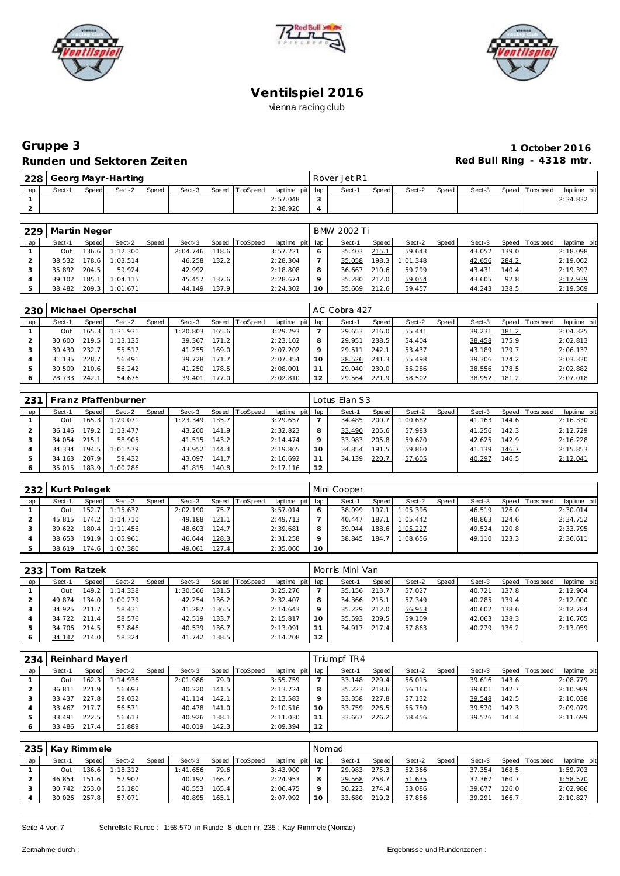





### **Gruppe 3 1 October 2016** Runden und Sektoren Zeiten **Munden und Sektoren Zeiten Red Bull Ring - 4318 mtr.**

| 228 L |        |       | Georg Mayr-Harting |       |        |                |                 | Rover Jet R1 |       |        |         |        |                   |             |
|-------|--------|-------|--------------------|-------|--------|----------------|-----------------|--------------|-------|--------|---------|--------|-------------------|-------------|
| lap   | Sect-1 | Speed | Sect-2             | Speed | Sect-3 | Speed TopSpeed | laptime pit lap | Sect-1       | Speed | Sect-2 | Speed I | Sect-3 | Speed   Tops peed | laptime pit |
|       |        |       |                    |       |        |                | 2:57.048        |              |       |        |         |        |                   | 2:34.832    |
| ∠     |        |       |                    |       |        |                | 2:38.920        |              |       |        |         |        |                   |             |

| 229 | Martin Neger |         |          |       |          |       |                  |                 |    | BMW 2002 Ti |       |          |       |        |       |                 |             |
|-----|--------------|---------|----------|-------|----------|-------|------------------|-----------------|----|-------------|-------|----------|-------|--------|-------|-----------------|-------------|
| lap | Sect-1       | Speed   | Sect-2   | Speed | Sect-3   |       | Speed   TopSpeed | laptime pit lap |    | Sect-1      | Speed | Sect-2   | Speed | Sect-3 |       | Speed Tops peed | laptime pit |
|     | Out          | 136.6 I | 1:12.300 |       | 2:04.746 | 118.6 |                  | 3:57.221        |    | 35.403      | 215.1 | 59.643   |       | 43.052 | 139.0 |                 | 2:18.098    |
|     | 38.532       | 178.6   | 1:03.514 |       | 46.258   | 132.2 |                  | 2:28.304        |    | 35.058      | 198.3 | 1:01.348 |       | 42.656 | 284.2 |                 | 2:19.062    |
|     | 35.892       | 204.5   | 59.924   |       | 42.992   |       |                  | 2:18.808        |    | 36.667      | 210.6 | 59.299   |       | 43.431 | 140.4 |                 | 2:19.397    |
|     | 39.102       | 185.1   | 1:04.115 |       | 45.457   | 137.6 |                  | 2:28.674        |    | 35.280      | 212.0 | 59.054   |       | 43.605 | 92.8  |                 | 2:17.939    |
|     | 38.482       | 209.3   | 1:01.671 |       | 44.149   | 137.9 |                  | 2:24.302        | 10 | 35.669      | 212.6 | 59.457   |       | 44.243 | 138.5 |                 | 2:19.369    |

| 230 |        |       | Michael Operschal |       |          |       |          |                 |         | AC Cobra 427 |       |        |         |        |       |            |             |
|-----|--------|-------|-------------------|-------|----------|-------|----------|-----------------|---------|--------------|-------|--------|---------|--------|-------|------------|-------------|
| lap | Sect-1 | Speed | Sect-2            | Speed | Sect-3   | Speed | TopSpeed | laptime pit lap |         | Sect-1       | Speed | Sect-2 | Speed I | Sect-3 | Speed | Tops pee d | laptime pit |
|     | Out    | 165.3 | 1:31.931          |       | 1:20.803 | 165.6 |          | 3:29.293        |         | 29.653       | 216.0 | 55.441 |         | 39.231 | 181.2 |            | 2:04.325    |
|     | 30.600 | 219.5 | 1:13.135          |       | 39.367   | 171.2 |          | 2:23.102        |         | 29.951       | 238.5 | 54.404 |         | 38.458 | 175.9 |            | 2:02.813    |
|     | 30.430 | 232.7 | 55.517            |       | 41.255   | 169.0 |          | 2:07.202        | $\circ$ | 29.511       | 242.1 | 53.437 |         | 43.189 | 179.7 |            | 2:06.137    |
|     | 31.135 | 228.7 | 56.491            |       | 39.728   | 171.7 |          | 2:07.354        | 10      | 28.526       | 241.3 | 55.498 |         | 39.306 | 174.2 |            | 2:03.330    |
|     | 30.509 | 210.6 | 56.242            |       | 41.250   | 178.5 |          | 2:08.001        |         | 29.040       | 230.0 | 55.286 |         | 38.556 | 78.5  |            | 2:02.882    |
|     | 28.733 | 242.1 | 54.676            |       | 39.401   | 177.0 |          | 2:02.810        |         | 29.564       | 221.9 | 58.502 |         | 38.952 | 181.2 |            | 2:07.018    |

| 231 |        |         | Franz Pfaffenburner |       |          |       |          |                 |    | Lotus Elan S3 |         |          |       |        |       |                |             |
|-----|--------|---------|---------------------|-------|----------|-------|----------|-----------------|----|---------------|---------|----------|-------|--------|-------|----------------|-------------|
| lap | Sect-1 | Speed   | Sect-2              | Speed | Sect-3   | Speed | TopSpeed | laptime pit lap |    | Sect-1        | Speed I | Sect-2   | Speed | Sect-3 |       | Speed Topspeed | laptime pit |
|     | Out    | 165.3 l | 1:29.071            |       | 1:23.349 | 135.7 |          | 3:29.657        |    | 34.485        | 200.7   | 1:00.682 |       | 41.163 | 144.6 |                | 2:16.330    |
|     | 36.146 | 179.21  | 1:13.477            |       | 43.200   | 141.9 |          | 2:32.823        | 8  | 33.490        | 205.6   | 57.983   |       | 41.256 | 142.3 |                | 2:12.729    |
|     | 34.054 | 215.1   | 58.905              |       | 41.515   | 143.2 |          | 2:14.474        |    | 33.983        | 205.8   | 59.620   |       | 42.625 | 142.9 |                | 2:16.228    |
|     | 34.334 | 194.5   | 1:01.579            |       | 43.952   | 144.4 |          | 2:19.865        | 10 | 34.854        | 191.5   | 59.860   |       | 41.139 | 146.7 |                | 2:15.853    |
|     | 34.163 | 207.9   | 59.432              |       | 43.097   | 141.7 |          | 2:16.692        |    | 34.139        | 220.7   | 57.605   |       | 40.297 | 146.5 |                | 2:12.041    |
|     | 35.015 | 183.9   | 1:00.286            |       | 41.815   | 140.8 |          | 2:17.116        | 12 |               |         |          |       |        |       |                |             |

|     | 232 Kurt Polegek |         |          |       |          |       |                |                 |         | Mini Cooper |              |          |       |        |       |                 |             |
|-----|------------------|---------|----------|-------|----------|-------|----------------|-----------------|---------|-------------|--------------|----------|-------|--------|-------|-----------------|-------------|
| lap | Sect-1           | Speed   | Sect-2   | Speed | Sect-3   |       | Speed TopSpeed | laptime pit lap |         | Sect-1      | <b>Speed</b> | Sect-2   | Speed | Sect-3 |       | Speed Tops peed | laptime pit |
|     | Out              | 152.7 L | 1:15.632 |       | 2:02.190 | 75.7  |                | 3:57.014        | 6       | 38.099      | 197.1        | 1:05.396 |       | 46.519 | 126.0 |                 | 2:30.014    |
|     | 45.815           | 174.2   | 1:14.710 |       | 49.188   | 121.1 |                | 2:49.713        |         | 40.447      | 187.1        | 1:05.442 |       | 48.863 | 124.6 |                 | 2:34.752    |
|     | 39.622           | 180.4   | 1:11.456 |       | 48.603   | 124.7 |                | 2:39.681        | 8       | 39.044      | 188.6        | 1:05.227 |       | 49.524 | 120.8 |                 | 2:33.795    |
|     | 38.653           | 191.9   | 1:05.961 |       | 46.644   | 128.3 |                | 2:31.258        | $\circ$ | 38.845      | 184.7        | 1:08.656 |       | 49.110 | 123.3 |                 | 2:36.611    |
|     | 38.619           | 174.6   | 1:07.380 |       | 49.061   | 127.4 |                | 2:35.060        | 10      |             |              |          |       |        |       |                 |             |

| 233 |              | Tom Ratzek |          |       |          |                    |                  |                 |         | Morris Mini Van |       |        |       |        |         |                |             |
|-----|--------------|------------|----------|-------|----------|--------------------|------------------|-----------------|---------|-----------------|-------|--------|-------|--------|---------|----------------|-------------|
| lap | Sect-1       | Speed      | Sect-2   | Speed | Sect-3   |                    | Speed   TopSpeed | laptime pit lap |         | Sect-1          | Speed | Sect-2 | Speed | Sect-3 |         | Speed Topspeed | laptime pit |
|     | Out          | 149.2      | 1:14.338 |       | : 30.566 | 131.5 <sub>1</sub> |                  | 3:25.276        |         | 35.156          | 213.7 | 57.027 |       | 40.721 | 137.8   |                | 2:12.904    |
|     | 49.874       | 134.0      | 1:00.279 |       | 42.254   | 136.2              |                  | 2:32.407        | 8       | 34.366          | 215.1 | 57.349 |       | 40.285 | 139.4   |                | 2:12.000    |
|     | 34.925 211.7 |            | 58.431   |       | 41.287   | 136.5              |                  | 2:14.643        | $\circ$ | 35.229          | 212.0 | 56.953 |       | 40.602 | 138.6   |                | 2:12.784    |
|     | 34.722 211.4 |            | 58.576   |       | 42.519   | 133.7              |                  | 2:15.817        | 10      | 35.593          | 209.5 | 59.109 |       | 42.063 | 138.3   |                | 2:16.765    |
|     | 34.706       | 214.5      | 57.846   |       | 40.539   | 136.7              |                  | 2:13.091        |         | 34.917          | 217.4 | 57.863 |       | 40.279 | 136.2 l |                | 2:13.059    |
|     | 34.142       | 214.0      | 58.324   |       | 41.742   | 138.5              |                  | 2:14.208        | 12      |                 |       |        |       |        |         |                |             |

| 234     | Reinhard Mayerl |       |          |       |          |       |                 |             |         | Triumpf TR4 |       |        |       |        |       |                 |             |
|---------|-----------------|-------|----------|-------|----------|-------|-----------------|-------------|---------|-------------|-------|--------|-------|--------|-------|-----------------|-------------|
| lap     | Sect-1          | Speed | Sect-2   | Speed | Sect-3   | Speed | <b>TopSpeed</b> | laptime pit | lap     | Sect-1      | Speed | Sect-2 | Speed | Sect-3 |       | Speed Tops peed | laptime pit |
|         | Out             | 162.3 | 1:14.936 |       | 2:01.986 | 79.9  |                 | 3:55.759    |         | 33.148      | 229.4 | 56.015 |       | 39.616 | 143.6 |                 | 2:08.779    |
|         | 36.811          | 221.9 | 56.693   |       | 40.220   | 141.5 |                 | 2:13.724    | 8       | 35.223      | 218.6 | 56.165 |       | 39.601 | 142.7 |                 | 2:10.989    |
|         | 33.437          | 227.8 | 59.032   |       | 41.114   | 142.1 |                 | 2:13.583    | $\circ$ | 33.358      | 227.8 | 57.132 |       | 39.548 | 142.5 |                 | 2:10.038    |
|         | 33.467          | 217.7 | 56.571   |       | 40.478   | 141.0 |                 | 2:10.516    | 10      | 33.759      | 226.5 | 55.750 |       | 39.570 | 142.3 |                 | 2:09.079    |
| 5       | 33.491          | 222.5 | 56.613   |       | 40.926   | 138.1 |                 | 2:11.030    | 11      | 33.667      | 226.2 | 58.456 |       | 39.576 | 141.4 |                 | 2:11.699    |
| $\circ$ | 33.486          | 217.4 | 55.889   |       | 40.019   | 142.3 |                 | 2:09.394    | 12      |             |       |        |       |        |       |                 |             |

| 235 | Kay Rimmele  |              |          |       |          |       |                |                 | Nomad |              |       |        |       |        |       |                 |             |
|-----|--------------|--------------|----------|-------|----------|-------|----------------|-----------------|-------|--------------|-------|--------|-------|--------|-------|-----------------|-------------|
| lap | Sect-1       | <b>Speed</b> | Sect-2   | Speed | Sect-3   |       | Speed TopSpeed | laptime pit lap |       | Sect-1       | Speed | Sect-2 | Speed | Sect-3 |       | Speed Tops peed | laptime pit |
|     | Out          | 136.6        | 1:18.312 |       | 1:41.656 | 79.6  |                | 3:43.900        |       | 29.983       | 275.3 | 52.366 |       | 37.354 | 168.5 |                 | 1:59.703    |
|     | 46.854       | 151.6        | 57.907   |       | 40.192   | 166.7 |                | 2:24.953        |       | 29.568       | 258.7 | 51.635 |       | 37.367 | 160.7 |                 | 1:58.570    |
|     | 30.742 253.0 |              | 55.180   |       | 40.553   | 165.4 |                | 2:06.475        |       | 30.223 274.4 |       | 53.086 |       | 39.677 | 126.0 |                 | 2:02.986    |
|     | 30.026       | 257.8        | 57.071   |       | 40.895   | 165.1 |                | 2:07.992        | 10    | 33.680 219.2 |       | 57.856 |       | 39.291 | 166.7 |                 | 2:10.827    |
|     |              |              |          |       |          |       |                |                 |       |              |       |        |       |        |       |                 |             |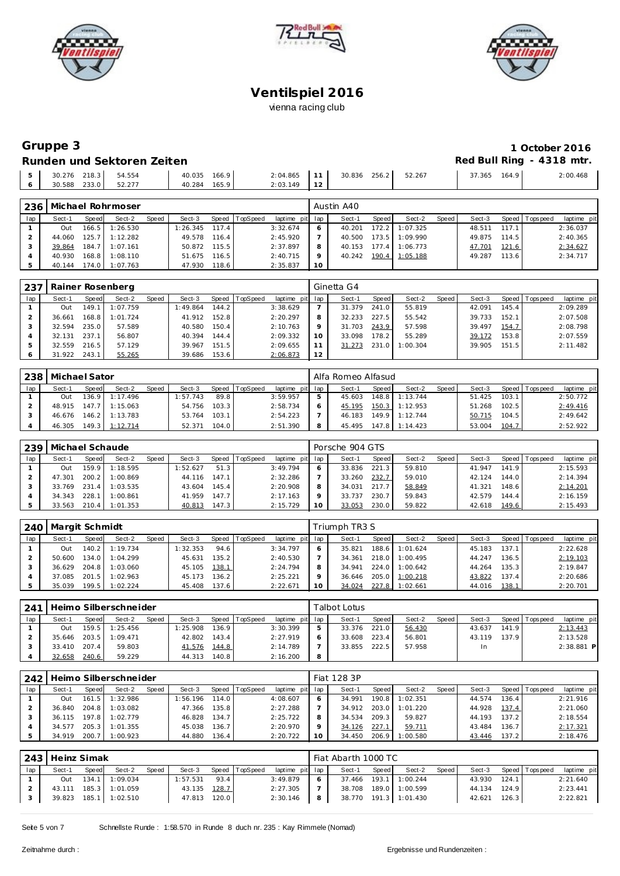





#### **Gruppe 3 1 October 2016 Runden und Sektoren Zeiten**

|      |              | <u>Turisti dhe Jentul eti zenteri</u> |                        |       |                                      |  |        |        |       | $100$ DUITINING TO TO THE $\cdot$ |
|------|--------------|---------------------------------------|------------------------|-------|--------------------------------------|--|--------|--------|-------|-----------------------------------|
| $-5$ | 30.588 233.0 | 30.276 218.3 54.554<br>52.277         | 40.035 166.9<br>40.284 | 165.9 | 2:04.865 11 30.836 256.2<br>2:03.149 |  | 52.267 | 37.365 | 164.9 | 2:00.468                          |
|      |              |                                       |                        |       |                                      |  |        |        |       |                                   |

| 236 |        |       | Michael Rohrmoser |       |          |       |          |                 |    | Austin A40 |       |          |       |        |        |                 |             |
|-----|--------|-------|-------------------|-------|----------|-------|----------|-----------------|----|------------|-------|----------|-------|--------|--------|-----------------|-------------|
| lap | Sect-1 | Speed | Sect-2            | Speed | Sect-3   | Speed | TopSpeed | laptime pit lap |    | Sect-1     | Speed | Sect-2   | Speed | Sect-3 |        | Speed Tops peed | laptime pit |
|     | Out    | 166.5 | 1:26.530          |       | : 26.345 | 117.4 |          | 3:32.674        |    | 40.201     | 172.2 | 1:07.325 |       | 48.511 | 117.11 |                 | 2:36.037    |
|     | 44.060 | 125.7 | 1:12.282          |       | 49.578   | 116.4 |          | 2:45.920        |    | 40.500     | 173.5 | 1:09.990 |       | 49.875 | 114.5  |                 | 2:40.365    |
|     | 39.864 | 184.7 | 1:07.161          |       | 50.872   | 115.5 |          | 2:37.897        | 8  | 40.153     | 177.4 | 1:06.773 |       | 47.701 | 121.6  |                 | 2:34.627    |
|     | 40.930 | 168.8 | 1:08.110          |       | 51.675   | 116.5 |          | 2:40.715        |    | 40.242     | 190.4 | 1:05.188 |       | 49.287 | 113.6  |                 | 2:34.717    |
|     | 40.144 | 174.0 | 1:07.763          |       | 47.930   | 118.6 |          | 2:35.837        | 10 |            |       |          |       |        |        |                 |             |

| 237 |        |       | Rainer Rosenberg |       |          |       |                |                 |    | Ginetta G4 |       |          |       |        |       |                |             |
|-----|--------|-------|------------------|-------|----------|-------|----------------|-----------------|----|------------|-------|----------|-------|--------|-------|----------------|-------------|
| lap | Sect-1 | Speed | Sect-2           | Speed | Sect-3   |       | Speed TopSpeed | laptime pit lap |    | Sect-1     | Speed | Sect-2   | Speed | Sect-3 |       | Speed Topspeed | laptime pit |
|     | Out    | 149.  | 1:07.759         |       | 1:49.864 | 144.2 |                | 3:38.629        |    | 31.379     | 241.0 | 55.819   |       | 42.091 | 145.4 |                | 2:09.289    |
|     | 36.661 | 168.8 | 1:01.724         |       | 41.912   | 152.8 |                | 2:20.297        |    | 32.233     | 227.5 | 55.542   |       | 39.733 | 152.1 |                | 2:07.508    |
|     | 32.594 | 235.0 | 57.589           |       | 40.580   | 150.4 |                | 2:10.763        |    | 31.703     | 243.9 | 57.598   |       | 39.497 | 154.7 |                | 2:08.798    |
|     | 32.131 | 237.1 | 56.807           |       | 40.394   | 144.4 |                | 2:09.332        | 10 | 33.098     | 178.2 | 55.289   |       | 39.172 | 153.8 |                | 2:07.559    |
|     | 32.559 | 216.5 | 57.129           |       | 39.967   | 151.5 |                | 2:09.655        |    | 31.273     | 231.0 | 1:00.304 |       | 39.905 | 151.5 |                | 2:11.482    |
|     | 31.922 | 243.1 | 55.265           |       | 39.686   | 153.6 |                | 2:06.873        | 12 |            |       |          |       |        |       |                |             |

| 238 | Michael Sator |       |                  |       |          |       |          |             |     | Alfa Romeo Alfasud |       |          |       |        |       |                 |             |
|-----|---------------|-------|------------------|-------|----------|-------|----------|-------------|-----|--------------------|-------|----------|-------|--------|-------|-----------------|-------------|
| lap | Sect-1        | Speed | Sect-2           | Speed | Sect-3   | Speed | TopSpeed | laptime pit | lap | Sect-1             | Speed | Sect-2   | Speed | Sect-3 |       | Speed Tops peed | laptime pit |
|     | Out           |       | 136.9 1:17.496   |       | 1:57.743 | 89.8  |          | 3:59.957    |     | 45.603             | 148.8 | 1:13.744 |       | 51.425 | 103.1 |                 | 2:50.772    |
|     | 48.915        |       | 147.7 1:15.063   |       | 54.756   | 103.3 |          | 2:58.734    |     | 45.195             | 150.3 | 1:12.953 |       | 51.268 | 102.5 |                 | 2:49.416    |
|     | 46.676        |       | $146.2$ 1:13.783 |       | 53.764   | 103.1 |          | 2:54.223    |     | 46.183             | 149.9 | 1:12.744 |       | 50.715 | 104.5 |                 | 2:49.642    |
|     | 46.305        |       | 149.3 1:12.714   |       | 52.371   | 104.0 |          | 2:51.390    | 8   | 45.495             | 147.8 | 1:14.423 |       | 53.004 | 104.7 |                 | 2:52.922    |

| 239 | l Michael Schaude |       |                |       |          |       |                 |                 | Porsche 904 GTS |         |        |       |        |       |                   |             |
|-----|-------------------|-------|----------------|-------|----------|-------|-----------------|-----------------|-----------------|---------|--------|-------|--------|-------|-------------------|-------------|
| lap | Sect-1            | Speed | Sect-2         | Speed | Sect-3   | Speed | <b>TopSpeed</b> | laptime pit lap | Sect-1          | Speed I | Sect-2 | Speed | Sect-3 |       | Speed   Tops peed | laptime pit |
|     | Out               |       | 159.9 1:18.595 |       | 1:52.627 | 51.3  |                 | 3:49.794        | 33.836          | 221.3   | 59.810 |       | 41.947 | 141.9 |                   | 2:15.593    |
|     | 47.301            | 200.2 | 1:00.869       |       | 44.116   | 147.1 |                 | 2:32.286        | 33.260          | 232.7   | 59.010 |       | 42.124 | 144.0 |                   | 2:14.394    |
|     | 33.769            | 231.4 | 1:03.535       |       | 43.604   | 145.4 |                 | 2:20.908        | 34.031          | 217.7   | 58.849 |       | 41.321 | 148.6 |                   | 2:14.201    |
|     | 34.343            | 228.  | 1:00.861       |       | 41.959   | 147.7 |                 | 2:17.163        | 33.737          | 230.7   | 59.843 |       | 42.579 | 144.4 |                   | 2:16.159    |
|     | 33.563            | 210.4 | 1:01.353       |       | 40.813   | 147.3 |                 | 2:15.729        | 33.053          | 230.0   | 59.822 |       | 42.618 | 149.6 |                   | 2:15.493    |

| 240 l | <b>Margit Schmidt</b> |       |                |       |          |       |                |                 |    | Triumph TR3 S |       |                |         |        |       |                 |             |
|-------|-----------------------|-------|----------------|-------|----------|-------|----------------|-----------------|----|---------------|-------|----------------|---------|--------|-------|-----------------|-------------|
| lap   | Sect-1                | Speed | Sect-2         | Speed | Sect-3   |       | Speed TopSpeed | laptime pit lap |    | Sect-1        | Speed | Sect-2         | Speed I | Sect-3 |       | Speed Tops peed | laptime pit |
|       | Out                   |       | 140.2 1:19.734 |       | 1:32.353 | 94.6  |                | 3:34.797        |    | 35.821        | 188.6 | 1:01.624       |         | 45.183 | 137.1 |                 | 2:22.628    |
|       | 50.600                |       | 134.0 1:04.299 |       | 45.631   | 135.2 |                | 2:40.530        |    | 34.361        |       | 218.0 1:00.495 |         | 44.247 | 136.5 |                 | 2:19.103    |
|       | 36.629                |       | 204.8 1:03.060 |       | 45.105   | 138.1 |                | 2:24.794        |    | 34.941        | 224.0 | 1:00.642       |         | 44.264 | 135.3 |                 | 2:19.847    |
|       | 37.085                |       | 201.5 1:02.963 |       | 45.173   | 136.2 |                | 2:25.221        |    | 36.646        | 205.0 | 1:00.218       |         | 43.822 | 137.4 |                 | 2:20.686    |
|       | 35.039                |       | 199.5 1:02.224 |       | 45.408   | 137.6 |                | 2:22.671        | 10 | 34.024        | 227.8 | 1:02.661       |         | 44.016 | 138.1 |                 | 2:20.701    |

| 241 |              |       | Heimo Silberschneider |       |          |       |                |                 |   | Talbot Lotus I |              |        |       |        |       |                |              |
|-----|--------------|-------|-----------------------|-------|----------|-------|----------------|-----------------|---|----------------|--------------|--------|-------|--------|-------|----------------|--------------|
| lap | Sect-1       | Speed | Sect-2                | Speed | Sect-3   |       | Speed TopSpeed | laptime pit lap |   | Sect-1         | <b>Speed</b> | Sect-2 | Speed | Sect-3 |       | Speed Topspeed | laptime pit  |
|     | Out          |       | 159.5 1:25.456        |       | 1:25.908 | 136.9 |                | 3:30.399        |   | 33.376         | 221.0        | 56.430 |       | 43.637 | 141.9 |                | 2:13.443     |
|     | 35.646       |       | 203.5 1:09.471        |       | 42.802   | 143.4 |                | 2:27.919        | 6 | 33.608         | 223.4        | 56.801 |       | 43.119 | 137.9 |                | 2:13.528     |
|     | 33.410 207.4 |       | 59.803                |       | 41.576   | 144.8 |                | 2:14.789        |   | 33.855         | 222.5        | 57.958 |       | In.    |       |                | $2:38.881$ P |
|     | 32.658       | 240.6 | 59.229                |       | 44.313   | 140.8 |                | 2:16.200        | 8 |                |              |        |       |        |       |                |              |

| 242 |        |                         | Heimo Silberschneider |              |          |       |                  |             |     | Fiat 128.3P |              |          |       |        |       |                 |             |
|-----|--------|-------------------------|-----------------------|--------------|----------|-------|------------------|-------------|-----|-------------|--------------|----------|-------|--------|-------|-----------------|-------------|
| lap | Sect-1 | Speed                   | Sect-2                | <b>Speed</b> | Sect-3   |       | Speed   TopSpeed | laptime pit | lap | Sect-1      | <b>Speed</b> | Sect-2   | Speed | Sect-3 |       | Speed Tops peed | laptime pit |
|     | Out    | 161.<br>.5 <sub>1</sub> | 1:32.986              |              | 1:56.196 | 114.0 |                  | 4:08.607    | 6   | 34.991      | 190.8        | 1:02.351 |       | 44.574 | 136.4 |                 | 2:21.916    |
|     | 36.840 | 204.8                   | 1:03.082              |              | 47.366   | 135.8 |                  | 2:27.288    |     | 34.912      | 203.0        | 1:01.220 |       | 44.928 | 137.4 |                 | 2:21.060    |
|     | 36.115 | 197.8                   | 1:02.779              |              | 46.828   | 134.7 |                  | 2:25.722    | 8   | 34.534      | 209.3        | 59.827   |       | 44.193 | 137.2 |                 | 2:18.554    |
|     | 34.577 | 205.3                   | 1:01.355              |              | 45.038   | 136.7 |                  | 2:20.970    | O   | 34.126      | 227.1        | 59.711   |       | 43.484 | 136.7 |                 | 2:17.321    |
|     | 34.919 | 200.                    | 1:00.923              |              | 44.880   | 136.4 |                  | 2:20.722    | 10  | 34.450      | 206.9        | 1:00.580 |       | 43.446 | 137.2 |                 | 2:18.476    |

| 243 | Heinz Simak |       |                       |       |              |       |                |                 |   | Fiat Abarth 1000 TC |       |                       |       |              |       |                |             |
|-----|-------------|-------|-----------------------|-------|--------------|-------|----------------|-----------------|---|---------------------|-------|-----------------------|-------|--------------|-------|----------------|-------------|
| lap | Sect-1      | Speed | Sect-2                | Speed | Sect-3       |       | Speed TopSpeed | laptime pit lap |   | Sect-1              | Speed | Sect-2                | Speed | Sect-3       |       | Speed Topspeed | laptime pit |
|     | Out         |       | 134.1 1:09.034        |       | 1:57.531     | 93.4  |                | 3:49.879        |   |                     |       | 37.466 193.1 1:00.244 |       | 43.930 124.1 |       |                | 2:21.640    |
|     |             |       | 43.111 185.3 1:01.059 |       | 43.135       | 128.7 |                | 2:27.305        |   |                     |       | 38.708 189.0 1:00.599 |       | 44.134 124.9 |       |                | 2:23.441    |
|     |             |       | 39.823 185.1 1:02.510 |       | 47.813 120.0 |       |                | 2:30.146        | 8 |                     |       | 38.770 191.3 1:01.430 |       | 42.621       | 126.3 |                | 2:22.821    |
|     |             |       |                       |       |              |       |                |                 |   |                     |       |                       |       |              |       |                |             |